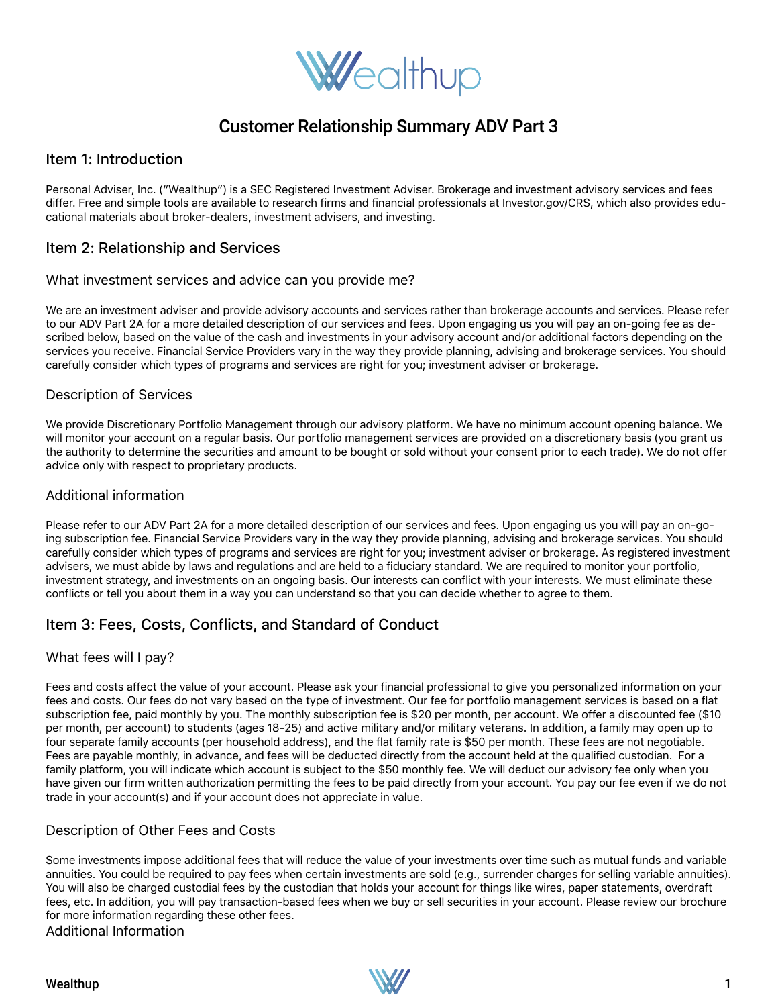

# Customer Relationship Summary ADV Part 3

# Item 1: Introduction

Personal Adviser, Inc. ("Wealthup") is a SEC Registered Investment Adviser. Brokerage and investment advisory services and fees differ. Free and simple tools are available to research firms and financial professionals at Investor.gov/CRS, which also provides educational materials about broker-dealers, investment advisers, and investing.

# Item 2: Relationship and Services

#### What investment services and advice can you provide me?

We are an investment adviser and provide advisory accounts and services rather than brokerage accounts and services. Please refer to our ADV Part 2A for a more detailed description of our services and fees. Upon engaging us you will pay an on-going fee as described below, based on the value of the cash and investments in your advisory account and/or additional factors depending on the services you receive. Financial Service Providers vary in the way they provide planning, advising and brokerage services. You should carefully consider which types of programs and services are right for you; investment adviser or brokerage.

## Description of Services

We provide Discretionary Portfolio Management through our advisory platform. We have no minimum account opening balance. We will monitor your account on a regular basis. Our portfolio management services are provided on a discretionary basis (you grant us the authority to determine the securities and amount to be bought or sold without your consent prior to each trade). We do not offer advice only with respect to proprietary products.

#### Additional information

Please refer to our ADV Part 2A for a more detailed description of our services and fees. Upon engaging us you will pay an on-going subscription fee. Financial Service Providers vary in the way they provide planning, advising and brokerage services. You should carefully consider which types of programs and services are right for you; investment adviser or brokerage. As registered investment advisers, we must abide by laws and regulations and are held to a fiduciary standard. We are required to monitor your portfolio, investment strategy, and investments on an ongoing basis. Our interests can conflict with your interests. We must eliminate these conflicts or tell you about them in a way you can understand so that you can decide whether to agree to them.

# Item 3: Fees, Costs, Conflicts, and Standard of Conduct

## What fees will I pay?

Fees and costs affect the value of your account. Please ask your financial professional to give you personalized information on your fees and costs. Our fees do not vary based on the type of investment. Our fee for portfolio management services is based on a flat subscription fee, paid monthly by you. The monthly subscription fee is \$20 per month, per account. We offer a discounted fee (\$10 per month, per account) to students (ages 18-25) and active military and/or military veterans. In addition, a family may open up to four separate family accounts (per household address), and the flat family rate is \$50 per month. These fees are not negotiable. Fees are payable monthly, in advance, and fees will be deducted directly from the account held at the qualified custodian. For a family platform, you will indicate which account is subject to the \$50 monthly fee. We will deduct our advisory fee only when you have given our firm written authorization permitting the fees to be paid directly from your account. You pay our fee even if we do not trade in your account(s) and if your account does not appreciate in value.

## Description of Other Fees and Costs

Some investments impose additional fees that will reduce the value of your investments over time such as mutual funds and variable annuities. You could be required to pay fees when certain investments are sold (e.g., surrender charges for selling variable annuities). You will also be charged custodial fees by the custodian that holds your account for things like wires, paper statements, overdraft fees, etc. In addition, you will pay transaction-based fees when we buy or sell securities in your account. Please review our brochure for more information regarding these other fees.

Additional Information